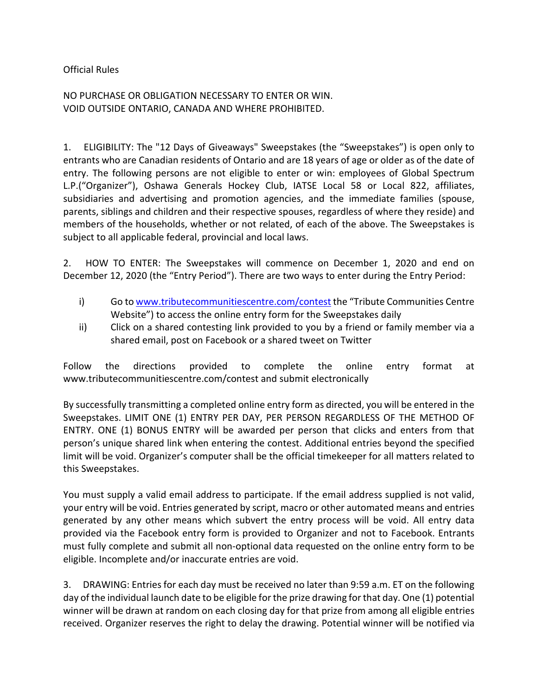Official Rules

NO PURCHASE OR OBLIGATION NECESSARY TO ENTER OR WIN. VOID OUTSIDE ONTARIO, CANADA AND WHERE PROHIBITED.

1. ELIGIBILITY: The "12 Days of Giveaways" Sweepstakes (the "Sweepstakes") is open only to entrants who are Canadian residents of Ontario and are 18 years of age or older as of the date of entry. The following persons are not eligible to enter or win: employees of Global Spectrum L.P.("Organizer"), Oshawa Generals Hockey Club, IATSE Local 58 or Local 822, affiliates, subsidiaries and advertising and promotion agencies, and the immediate families (spouse, parents, siblings and children and their respective spouses, regardless of where they reside) and members of the households, whether or not related, of each of the above. The Sweepstakes is subject to all applicable federal, provincial and local laws.

2. HOW TO ENTER: The Sweepstakes will commence on December 1, 2020 and end on December 12, 2020 (the "Entry Period"). There are two ways to enter during the Entry Period:

- i) Go to [www.tributecommunitiescentre.com/contest](http://www.tributecommunitiescentre.com/contest) the "Tribute Communities Centre Website") to access the online entry form for the Sweepstakes daily
- ii) Click on a shared contesting link provided to you by a friend or family member via a shared email, post on Facebook or a shared tweet on Twitter

Follow the directions provided to complete the online entry format at www.tributecommunitiescentre.com/contest and submit electronically

By successfully transmitting a completed online entry form as directed, you will be entered in the Sweepstakes. LIMIT ONE (1) ENTRY PER DAY, PER PERSON REGARDLESS OF THE METHOD OF ENTRY. ONE (1) BONUS ENTRY will be awarded per person that clicks and enters from that person's unique shared link when entering the contest. Additional entries beyond the specified limit will be void. Organizer's computer shall be the official timekeeper for all matters related to this Sweepstakes.

You must supply a valid email address to participate. If the email address supplied is not valid, your entry will be void. Entries generated by script, macro or other automated means and entries generated by any other means which subvert the entry process will be void. All entry data provided via the Facebook entry form is provided to Organizer and not to Facebook. Entrants must fully complete and submit all non-optional data requested on the online entry form to be eligible. Incomplete and/or inaccurate entries are void.

3. DRAWING: Entries for each day must be received no later than 9:59 a.m. ET on the following day of the individual launch date to be eligible for the prize drawing for that day. One (1) potential winner will be drawn at random on each closing day for that prize from among all eligible entries received. Organizer reserves the right to delay the drawing. Potential winner will be notified via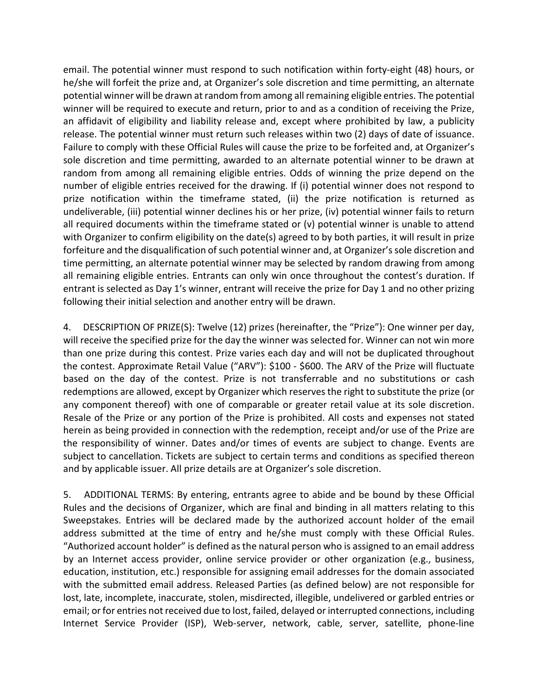email. The potential winner must respond to such notification within forty-eight (48) hours, or he/she will forfeit the prize and, at Organizer's sole discretion and time permitting, an alternate potential winner will be drawn at random from among all remaining eligible entries. The potential winner will be required to execute and return, prior to and as a condition of receiving the Prize, an affidavit of eligibility and liability release and, except where prohibited by law, a publicity release. The potential winner must return such releases within two (2) days of date of issuance. Failure to comply with these Official Rules will cause the prize to be forfeited and, at Organizer's sole discretion and time permitting, awarded to an alternate potential winner to be drawn at random from among all remaining eligible entries. Odds of winning the prize depend on the number of eligible entries received for the drawing. If (i) potential winner does not respond to prize notification within the timeframe stated, (ii) the prize notification is returned as undeliverable, (iii) potential winner declines his or her prize, (iv) potential winner fails to return all required documents within the timeframe stated or (v) potential winner is unable to attend with Organizer to confirm eligibility on the date(s) agreed to by both parties, it will result in prize forfeiture and the disqualification of such potential winner and, at Organizer's sole discretion and time permitting, an alternate potential winner may be selected by random drawing from among all remaining eligible entries. Entrants can only win once throughout the contest's duration. If entrant is selected as Day 1's winner, entrant will receive the prize for Day 1 and no other prizing following their initial selection and another entry will be drawn.

4. DESCRIPTION OF PRIZE(S): Twelve (12) prizes (hereinafter, the "Prize"): One winner per day, will receive the specified prize for the day the winner was selected for. Winner can not win more than one prize during this contest. Prize varies each day and will not be duplicated throughout the contest. Approximate Retail Value ("ARV"): \$100 - \$600. The ARV of the Prize will fluctuate based on the day of the contest. Prize is not transferrable and no substitutions or cash redemptions are allowed, except by Organizer which reserves the right to substitute the prize (or any component thereof) with one of comparable or greater retail value at its sole discretion. Resale of the Prize or any portion of the Prize is prohibited. All costs and expenses not stated herein as being provided in connection with the redemption, receipt and/or use of the Prize are the responsibility of winner. Dates and/or times of events are subject to change. Events are subject to cancellation. Tickets are subject to certain terms and conditions as specified thereon and by applicable issuer. All prize details are at Organizer's sole discretion.

5. ADDITIONAL TERMS: By entering, entrants agree to abide and be bound by these Official Rules and the decisions of Organizer, which are final and binding in all matters relating to this Sweepstakes. Entries will be declared made by the authorized account holder of the email address submitted at the time of entry and he/she must comply with these Official Rules. "Authorized account holder" is defined as the natural person who is assigned to an email address by an Internet access provider, online service provider or other organization (e.g., business, education, institution, etc.) responsible for assigning email addresses for the domain associated with the submitted email address. Released Parties (as defined below) are not responsible for lost, late, incomplete, inaccurate, stolen, misdirected, illegible, undelivered or garbled entries or email; or for entries not received due to lost, failed, delayed or interrupted connections, including Internet Service Provider (ISP), Web-server, network, cable, server, satellite, phone-line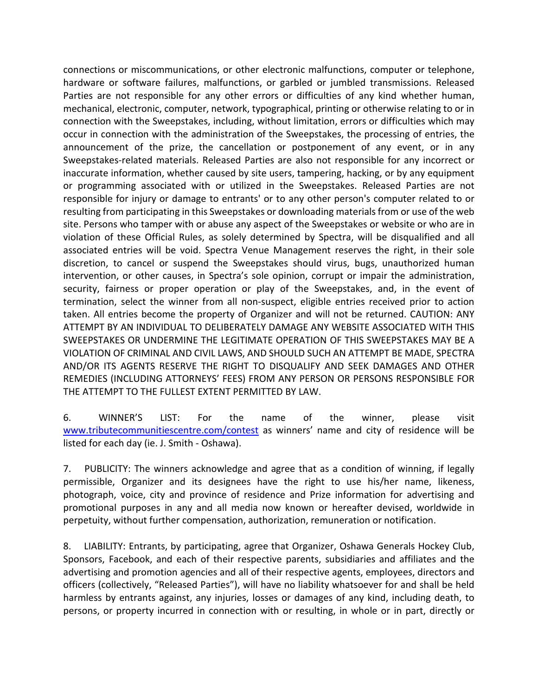connections or miscommunications, or other electronic malfunctions, computer or telephone, hardware or software failures, malfunctions, or garbled or jumbled transmissions. Released Parties are not responsible for any other errors or difficulties of any kind whether human, mechanical, electronic, computer, network, typographical, printing or otherwise relating to or in connection with the Sweepstakes, including, without limitation, errors or difficulties which may occur in connection with the administration of the Sweepstakes, the processing of entries, the announcement of the prize, the cancellation or postponement of any event, or in any Sweepstakes-related materials. Released Parties are also not responsible for any incorrect or inaccurate information, whether caused by site users, tampering, hacking, or by any equipment or programming associated with or utilized in the Sweepstakes. Released Parties are not responsible for injury or damage to entrants' or to any other person's computer related to or resulting from participating in this Sweepstakes or downloading materials from or use of the web site. Persons who tamper with or abuse any aspect of the Sweepstakes or website or who are in violation of these Official Rules, as solely determined by Spectra, will be disqualified and all associated entries will be void. Spectra Venue Management reserves the right, in their sole discretion, to cancel or suspend the Sweepstakes should virus, bugs, unauthorized human intervention, or other causes, in Spectra's sole opinion, corrupt or impair the administration, security, fairness or proper operation or play of the Sweepstakes, and, in the event of termination, select the winner from all non-suspect, eligible entries received prior to action taken. All entries become the property of Organizer and will not be returned. CAUTION: ANY ATTEMPT BY AN INDIVIDUAL TO DELIBERATELY DAMAGE ANY WEBSITE ASSOCIATED WITH THIS SWEEPSTAKES OR UNDERMINE THE LEGITIMATE OPERATION OF THIS SWEEPSTAKES MAY BE A VIOLATION OF CRIMINAL AND CIVIL LAWS, AND SHOULD SUCH AN ATTEMPT BE MADE, SPECTRA AND/OR ITS AGENTS RESERVE THE RIGHT TO DISQUALIFY AND SEEK DAMAGES AND OTHER REMEDIES (INCLUDING ATTORNEYS' FEES) FROM ANY PERSON OR PERSONS RESPONSIBLE FOR THE ATTEMPT TO THE FULLEST EXTENT PERMITTED BY LAW.

6. WINNER'S LIST: For the name of the winner, please visit [www.tributecommunitiescentre.com/contest](http://www.tributecommunitiescentre.com/contest) as winners' name and city of residence will be listed for each day (ie. J. Smith - Oshawa).

7. PUBLICITY: The winners acknowledge and agree that as a condition of winning, if legally permissible, Organizer and its designees have the right to use his/her name, likeness, photograph, voice, city and province of residence and Prize information for advertising and promotional purposes in any and all media now known or hereafter devised, worldwide in perpetuity, without further compensation, authorization, remuneration or notification.

8. LIABILITY: Entrants, by participating, agree that Organizer, Oshawa Generals Hockey Club, Sponsors, Facebook, and each of their respective parents, subsidiaries and affiliates and the advertising and promotion agencies and all of their respective agents, employees, directors and officers (collectively, "Released Parties"), will have no liability whatsoever for and shall be held harmless by entrants against, any injuries, losses or damages of any kind, including death, to persons, or property incurred in connection with or resulting, in whole or in part, directly or